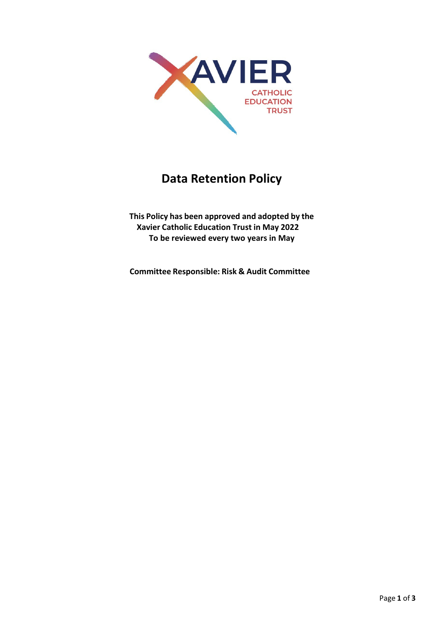

# **Data Retention Policy**

**This Policy has been approved and adopted by the Xavier Catholic Education Trust in May 2022 To be reviewed every two years in May**

**Committee Responsible: Risk & Audit Committee**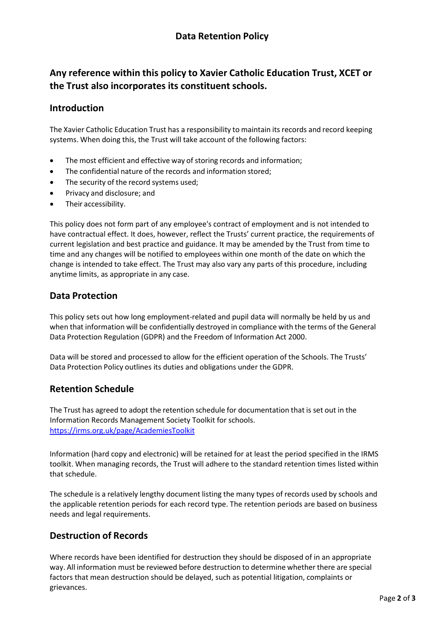# **Any reference within this policy to Xavier Catholic Education Trust, XCET or the Trust also incorporates its constituent schools.**

#### **Introduction**

The Xavier Catholic Education Trust has a responsibility to maintain its records and record keeping systems. When doing this, the Trust will take account of the following factors:

- The most efficient and effective way of storing records and information;
- The confidential nature of the records and information stored:
- The security of the record systems used;
- Privacy and disclosure; and
- Their accessibility.

This policy does not form part of any employee's contract of employment and is not intended to have contractual effect. It does, however, reflect the Trusts' current practice, the requirements of current legislation and best practice and guidance. It may be amended by the Trust from time to time and any changes will be notified to employees within one month of the date on which the change is intended to take effect. The Trust may also vary any parts of this procedure, including anytime limits, as appropriate in any case.

#### **Data Protection**

This policy sets out how long employment-related and pupil data will normally be held by us and when that information will be confidentially destroyed in compliance with the terms of the General Data Protection Regulation (GDPR) and the Freedom of Information Act 2000.

Data will be stored and processed to allow for the efficient operation of the Schools. The Trusts' Data Protection Policy outlines its duties and obligations under the GDPR.

#### **Retention Schedule**

The Trust has agreed to adopt the retention schedule for documentation that is set out in the Information Records Management Society Toolkit for schools. <https://irms.org.uk/page/AcademiesToolkit>

Information (hard copy and electronic) will be retained for at least the period specified in the IRMS toolkit. When managing records, the Trust will adhere to the standard retention times listed within that schedule.

The schedule is a relatively lengthy document listing the many types of records used by schools and the applicable retention periods for each record type. The retention periods are based on business needs and legal requirements.

#### **Destruction of Records**

Where records have been identified for destruction they should be disposed of in an appropriate way. All information must be reviewed before destruction to determine whether there are special factors that mean destruction should be delayed, such as potential litigation, complaints or grievances.